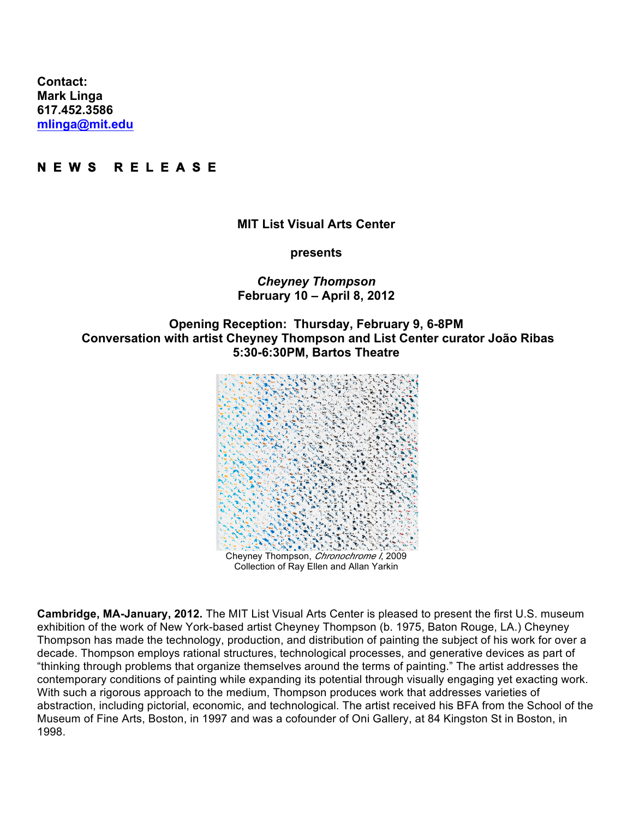**Contact: Mark Linga [617.452.3586](tel:6174523586) [mlinga@mit.edu](mailto:mlinga@mit.edu)**

# **N E W S R E L E A S E**

#### **MIT List Visual Arts Center**

**presents**

### *Cheyney Thompson* **February 10 – April 8, 2012**

# **Opening Reception: Thursday, February 9, 6-8PM Conversation with artist Cheyney Thompson and List Center curator João Ribas 5:30-6:30PM, Bartos Theatre**



**Cambridge, MA-January, 2012.** The MIT List Visual Arts Center is pleased to present the first U.S. museum exhibition of the work of New York-based artist Cheyney Thompson (b. 1975, Baton Rouge, LA.) Cheyney Thompson has made the technology, production, and distribution of painting the subject of his work for over a decade. Thompson employs rational structures, technological processes, and generative devices as part of "thinking through problems that organize themselves around the terms of painting." The artist addresses the contemporary conditions of painting while expanding its potential through visually engaging yet exacting work. With such a rigorous approach to the medium, Thompson produces work that addresses varieties of abstraction, including pictorial, economic, and technological. The artist received his BFA from the School of the Museum of Fine Arts, Boston, in 1997 and was a cofounder of Oni Gallery, at 84 Kingston St in Boston, in 1998.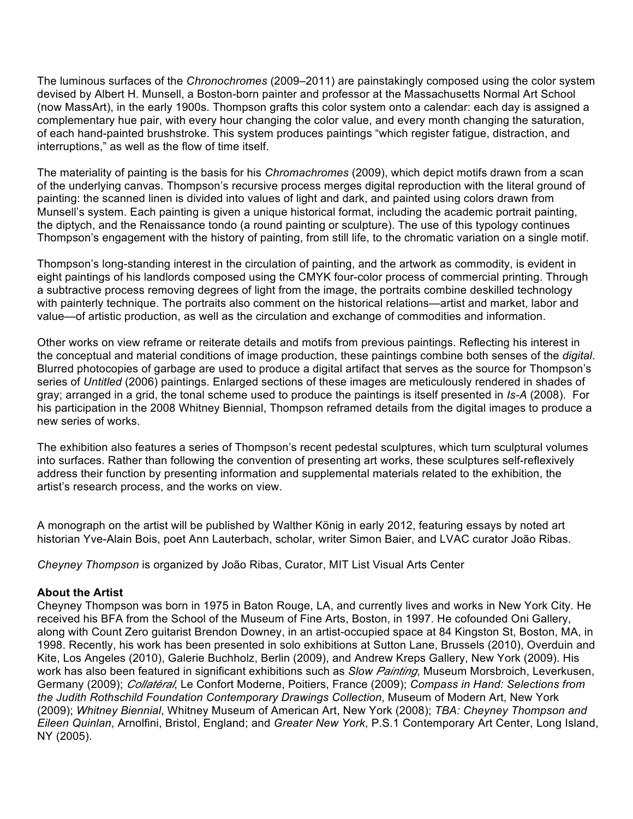The luminous surfaces of the *Chronochromes* (2009–2011) are painstakingly composed using the color system devised by Albert H. Munsell, a Boston-born painter and professor at the Massachusetts Normal Art School (now MassArt), in the early 1900s. Thompson grafts this color system onto a calendar: each day is assigned a complementary hue pair, with every hour changing the color value, and every month changing the saturation, of each hand-painted brushstroke. This system produces paintings "which register fatigue, distraction, and interruptions," as well as the flow of time itself.

The materiality of painting is the basis for his *Chromachromes* (2009), which depict motifs drawn from a scan of the underlying canvas. Thompson's recursive process merges digital reproduction with the literal ground of painting: the scanned linen is divided into values of light and dark, and painted using colors drawn from Munsell's system. Each painting is given a unique historical format, including the academic portrait painting, the diptych, and the Renaissance tondo (a round painting or sculpture). The use of this typology continues Thompson's engagement with the history of painting, from still life, to the chromatic variation on a single motif.

Thompson's long-standing interest in the circulation of painting, and the artwork as commodity, is evident in eight paintings of his landlords composed using the CMYK four-color process of commercial printing. Through a subtractive process removing degrees of light from the image, the portraits combine deskilled technology with painterly technique. The portraits also comment on the historical relations—artist and market, labor and value—of artistic production, as well as the circulation and exchange of commodities and information.

Other works on view reframe or reiterate details and motifs from previous paintings. Reflecting his interest in the conceptual and material conditions of image production, these paintings combine both senses of the *digital*. Blurred photocopies of garbage are used to produce a digital artifact that serves as the source for Thompson's series of *Untitled* (2006) paintings. Enlarged sections of these images are meticulously rendered in shades of gray; arranged in a grid, the tonal scheme used to produce the paintings is itself presented in *Is-A* (2008). For his participation in the 2008 Whitney Biennial, Thompson reframed details from the digital images to produce a new series of works.

The exhibition also features a series of Thompson's recent pedestal sculptures, which turn sculptural volumes into surfaces. Rather than following the convention of presenting art works, these sculptures self-reflexively address their function by presenting information and supplemental materials related to the exhibition, the artist's research process, and the works on view.

A monograph on the artist will be published by Walther König in early 2012, featuring essays by noted art historian Yve-Alain Bois, poet Ann Lauterbach, scholar, writer Simon Baier, and LVAC curator João Ribas.

*Cheyney Thompson* is organized by João Ribas, Curator, MIT List Visual Arts Center

### **About the Artist**

Cheyney Thompson was born in 1975 in Baton Rouge, LA, and currently lives and works in New York City. He received his BFA from the School of the Museum of Fine Arts, Boston, in 1997. He cofounded Oni Gallery, along with Count Zero guitarist Brendon Downey, in an artist-occupied space at 84 Kingston St, Boston, MA, in 1998. Recently, his work has been presented in solo exhibitions at Sutton Lane, Brussels (2010), Overduin and Kite, Los Angeles (2010), Galerie Buchholz, Berlin (2009), and Andrew Kreps Gallery, New York (2009). His work has also been featured in significant exhibitions such as *Slow Painting*, Museum Morsbroich, Leverkusen, Germany (2009); *Collatéral*, Le Confort Moderne, Poitiers, France (2009); *Compass in Hand: Selections from the Judith Rothschild Foundation Contemporary Drawings Collection*, Museum of Modern Art, New York (2009); *Whitney Biennial*, Whitney Museum of American Art, New York (2008); *TBA: Cheyney Thompson and Eileen Quinlan*, Arnolfini, Bristol, England; and *Greater New York*, P.S.1 Contemporary Art Center, Long Island, NY (2005).